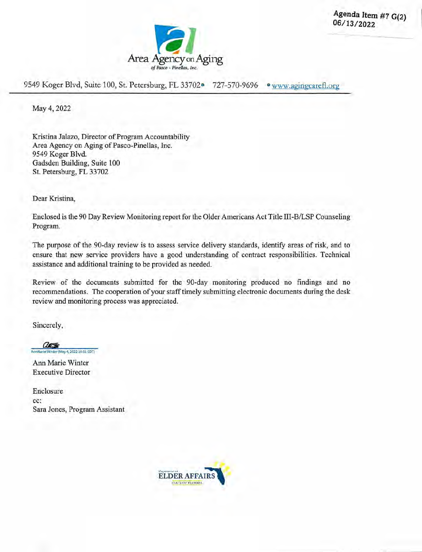



9549 Koger Blvd, Suite 100, St. Petersburg, FL 33702<sup>o</sup> 727-570-9696 · www.agingcarefl.org

May 4, 2022

Kristina Jalazo, Director of Program Accountability Area Agency on Aging of Pasco-Pinellas, Inc. *9549* Koger Blvd. Gadsden Building, Suite 100 St. Petersburg, FL 33702

Dear Kristina,

Enclosed is the 90 Day Review Monitoring report for the Older Americans Act Title III-B/LSP Counseling Program.

The purpose of the 90-day review is to assess service delivery standards, identify areas of risk, and to ensure that new service providers have a good understanding of contract responsibilities. Technical assistance and additional training to be provided as needed.

Review of the documents submitted for the 90-day monitoring produced no findings and no recommendations. The cooperation of your staff timely submitting electronic documents during the desk review and monitoring process was appreciated.

Sincerely,

anti (May 4, 2022 10:51 EDT)

Ann Marie Winter Executive Director

Enclosure cc: Sara Jones, Program Assistant

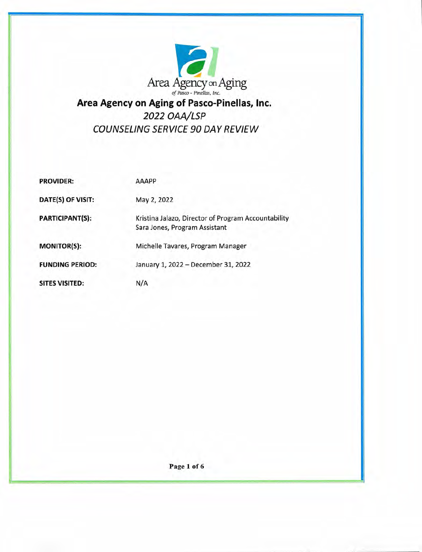

# **Area Agency on Aging of Pasco-Pinellas, Inc.**  *2022 OAA/LSP COUNSELING SERVICE 90 DAY REVIEW*

| <b>PROVIDER:</b>       | <b>AAAPP</b>                                                                         |
|------------------------|--------------------------------------------------------------------------------------|
| DATE(S) OF VISIT:      | May 2, 2022                                                                          |
| <b>PARTICIPANT(S):</b> | Kristina Jalazo, Director of Program Accountability<br>Sara Jones, Program Assistant |
| <b>MONITOR(S):</b>     | Michelle Tavares, Program Manager                                                    |
| <b>FUNDING PERIOD:</b> | January 1, 2022 - December 31, 2022                                                  |
| <b>SITES VISITED:</b>  | N/A                                                                                  |

*Page 1 of 6*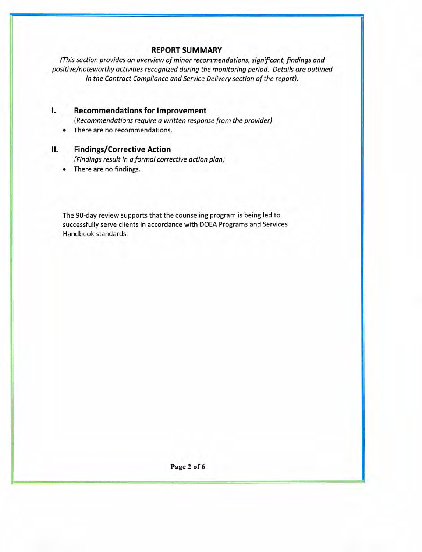# **REPORT SUMMARY**

(This section provides an overview of minor recommendations, significant, findings and positive/noteworthy activities recognized during the monitoring period. Details are outlined in the Contract Compliance and Service Delivery section of the report).

# **I. Recommendations for Improvement**

(Recommendations require a written response from the provider)

. There are no recommendations.

# **II. Findings/Corrective Action**

(Findings result in a formal corrective action plan)

. There are no findings.

The 90-day review supports that the counseling program is being led to successfully serve clients in accordance with DOEA Programs and Services Handbook standards.

**Page 2 of 6**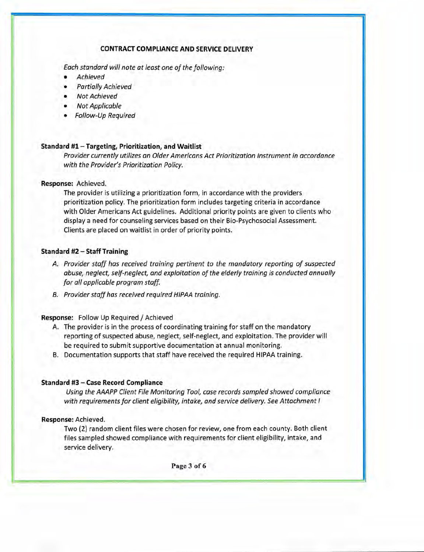#### **CONTRACT COMPLIANCE AND SERVICE DELIVERY**

Each standard will note at least one of the following:

- Achieved
- Partially Achieved
- Not Achieved
- Not Applicable
- Follow-Up Required

#### **Standard #1** — **Targeting, Prioritization, and Waitlist**

Provider currently utilizes an Older Americans Act Prioritization Instrument in accordance with the Provider's Prioritization Policy.

#### **Response:** Achieved.

The provider is utilizing a prioritization form, in accordance with the providers prioritization policy. The prioritization form includes targeting criteria in accordance with Older Americans Act guidelines. Additional priority points are given to clients who display a need for counseling services based on their Bio-Psychosocial Assessment. Clients are placed on waitlist in order of priority points.

#### **Standard #2— Staff Training**

- A. Provider staff has received training pertinent to the mandatory reporting of suspected abuse, neglect, self-neglect, and exploitation of the elderly training is conducted annually for all applicable program staff.
- B. Provider staff has received required HIPAA training.

#### **Response:** Follow Up Required / Achieved

- A. The provider is in the process of coordinating training for staff on the mandatory reporting of suspected abuse, neglect, self-neglect, and exploitation. The provider will be required to submit supportive documentation at annual monitoring.
- B. Documentation supports that staff have received the required HIPAA training.

#### **Standard #3 — Case Record Compliance**

Using the AAAPP Client File Monitoring Tool, case records sampled showed compliance with requirements for client eligibility, intake, and service delivery. See Attachment I

#### **Response:** Achieved.

Two (2) random client files were chosen for review, one from each county. Both client files sampled showed compliance with requirements for client eligibility, intake, and service delivery.

Page 3 of 6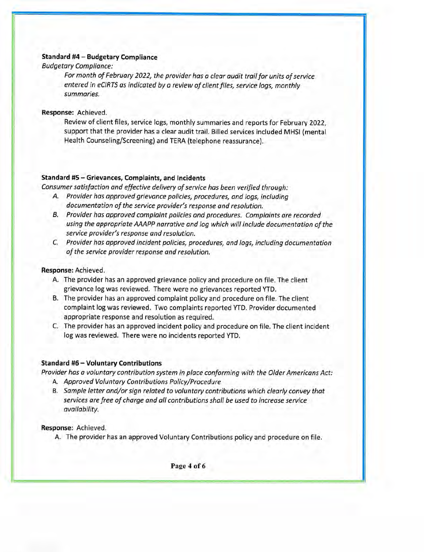#### Standard **#4** — **Budgetary Compliance**

#### Budgetary Compliance:

For month of February 2022, the provider has a clear audit trail for units of service entered in eCIRTS as indicated by a review of client files, service logs, monthly summaries.

**Response:** Achieved.

Review of client files, service logs, monthly summaries and reports for February 2022, support that the provider has a clear audit trail. Billed services included MHSI (mental Health Counseling/Screening) and TERA (telephone reassurance).

#### **Standard #5 — Grievances, Complaints, and Incidents**

Consumer satisfaction and effective delivery of service has been verified through:

- A. Provider has approved grievance policies, procedures, and logs, including documentation of the service provider's response and resolution.
- B. Provider has approved complaint policies and procedures. Complaints are recorded using the appropriate AAAPP narrative and log which will include documentation of the service provider's response and resolution.
- C. Provider has approved incident policies, procedures, and logs, including documentation of the service provider response and resolution.

#### **Response:** Achieved.

- A. The provider has an approved grievance policy and procedure on file. The client grievance log was reviewed. There were no grievances reported YTD.
- B. The provider has an approved complaint policy and procedure on file. The client complaint log was reviewed. Two complaints reported YTD. Provider documented appropriate response and resolution as required.
- C. The provider has an approved incident policy and procedure on file. The client incident log was reviewed. There were no incidents reported YTD.

#### **Standard #6** — **Voluntary Contributions**

Provider has a voluntary contribution system in place conforming with the Older Americans Act:

- A. Approved Voluntary Contributions Policy/Procedure
- B. Sample letter and/or sign related to voluntary contributions which clearly convey that services are free of charge and all contributions shall be used to increase service availability.

#### **Response:** Achieved.

A. The provider has an approved Voluntary Contributions policy and procedure on file.

Page 4 of 6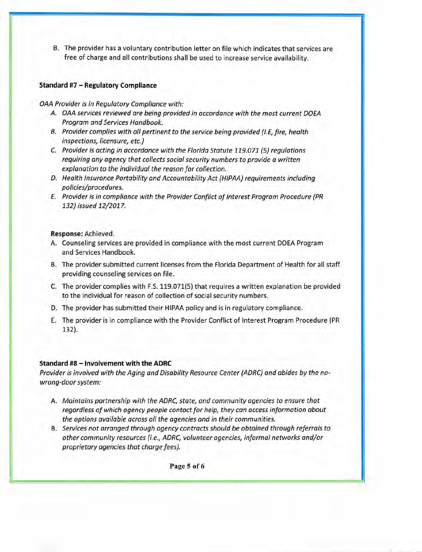B. The provider has a voluntary contribution letter on file which indicates that services are free of charge and all contributions shall be used to increase service availability.

## **Standard #7— Regulatory Compliance**

#### OAA Provider is in Regulatory Compliance with:

- A. OAA services reviewed are being provided in accordance with the most current DOEA Program and Services Handbook.
- B. Provider complies with all pertinent to the service being provided (I.E. fire, health inspections, licensure, etc.)
- C. Provider is acting in accordance with the Florida Statute 119.071 (5) regulations requiring any agency that collects social security numbers to provide a written explanation to the individual the reason for collection.
- D. Health Insurance Portability and Accountability Act (HIPAA) requirements including policies/procedures.
- E. Provider is in compliance with the Provider Conflict of Interest Program Procedure (PR 132) issued 12/2017.

#### **Response:** Achieved.

- A. Counseling services are provided in compliance with the most current DOEA Program and Services Handbook.
- B. The provider submitted current licenses from the Florida Department of Health for all staff providing counseling services on file.
- C. The provider complies with F.S. 119.071(5) that requires a written explanation be provided to the individual for reason of collection of social security numbers.
- D. The provider has submitted their HIPAA policy and is in regulatory compliance.
- E. The provider is in compliance with the Provider Conflict of Interest Program Procedure (PR 132).

# **Standard #8— Involvement with the ADRC**

Provider is involved with the Aging and Disability Resource Center (ADRC) and abides by the nowrong-door system:

- A. Maintains partnership with the ADRC, state, and community agencies to ensure that regardless of which agency people contact for help, they can access information about the options available across all the agencies and in their communities.
- B. Services not arranged through agency contracts should be obtained through referrals to other community resources (i.e., ADRC, volunteer agencies, informal networks and/or proprietary agencies that charge fees).

*Page 5 of 6*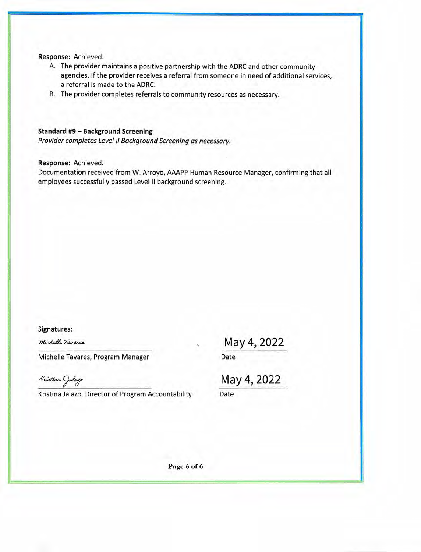#### **Response:** Achieved.

- A. The provider maintains a positive partnership with the ADRC and other community agencies. If the provider receives a referral from someone in need of additional services, a referral is made to the ADRC.
- B. The provider completes referrals to community resources as necessary.

### **Standard #9** — **Background Screening**

*Provider completes Level II Background Screening as necessary.* 

#### **Response:** Achieved.

Documentation received from W. Arroyo, AAAPP Human Resource Manager, confirming that all employees successfully passed Level II background screening.

Signatures:

Michelle Tavares

Michelle Tavares, Program Manager

Kristina Jalazo

Kristina Jalazo, Director of Program Accountability Date

May 4, 2022

Date

May 4, 2022

Page 6 of 6